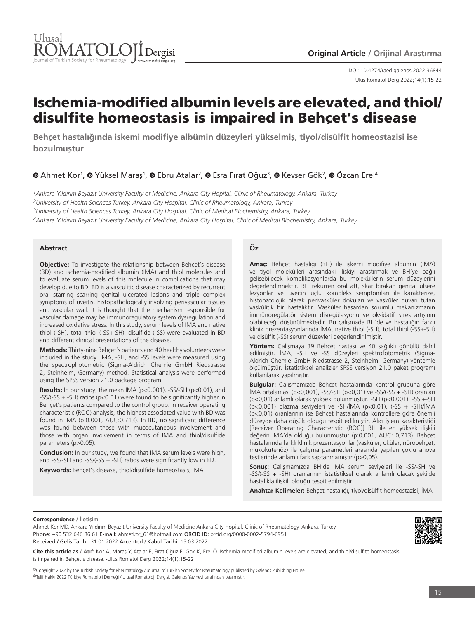

Ulus Romatol Derg 2022;14(1):15-22 DOI: 10.4274/raed.galenos.2022.36844

# Ischemia-modified albumin levels are elevated, and thiol/ disulfite homeostasis is impaired in Behçet's disease

**Behçet hastalığında iskemi modifiye albümin düzeyleri yükselmiş, tiyol/disülfit homeostazisi ise bozulmuştur**

# **@Ahmet Kor<sup>1</sup>, @ Yüksel Maras<sup>1</sup>, @ Ebru Atalar<sup>2</sup>, @ Esra Fırat Oğuz<sup>3</sup>, @ Kevser Gök<sup>2</sup>, @ Özcan Erel<sup>4</sup>**

*1Ankara Yıldırım Beyazıt University Faculty of Medicine, Ankara City Hopital, Clinic of Rheumatology, Ankara, Turkey 2University of Health Sciences Turkey, Ankara City Hospital, Clinic of Rheumatology, Ankara, Turkey 3University of Health Sciences Turkey, Ankara City Hospital, Clinic of Medical Biochemistry, Ankara, Turkey 4Ankara Yıldırım Beyazıt University Faculty of Medicine, Ankara City Hospital, Clinic of Medical Biochemistry, Ankara, Turkey*

#### **Abstract**

**Objective:** To investigate the relationship between Behcet's disease (BD) and ischemia-modified albumin (IMA) and thiol molecules and to evaluate serum levels of this molecule in complications that may develop due to BD. BD is a vasculitic disease characterized by recurrent oral starring scarring genital ulcerated lesions and triple complex symptoms of uveitis, histopathologically involving perivascular tissues and vascular wall. It is thought that the mechanism responsible for vascular damage may be immunoregulatory system dysregulation and increased oxidative stress. In this study, serum levels of IMA and native thiol (-SH), total thiol (-SS+-SH), disulfide (-SS) were evaluated in BD and different clinical presentations of the disease.

**Methods:** Thirty-nine Behçet's patients and 40 healthy volunteers were included in the study. IMA, -SH, and -SS levels were measured using the spectrophotometric (Sigma-Aldrich Chemie GmbH Riedstrasse 2, Steinheim, Germany) method. Statistical analysis were performed using the SPSS version 21.0 package program.

**Results:** In our study, the mean IMA (p<0.001), -SS/-SH (p<0.01), and -SS/(-SS + -SH) ratios (p<0.01) were found to be significantly higher in Behçet's patients compared to the control group. In receiver operating characteristic (ROC) analysis, the highest associated value with BD was found in IMA (p:0.001, AUC:0.713). In BD, no significant difference was found between those with mucocutaneous involvement and those with organ involvement in terms of IMA and thiol/disulfide parameters (p>0.05).

**Conclusion:** In our study, we found that IMA serum levels were high, and -SS/-SH and -SS/(-SS + -SH) ratios were significantly low in BD.

**Keywords:** Behçet's disease, thiol/disulfide homeostasis, IMA

#### **Öz**

**Amaç:** Behçet hastalığı (BH) ile iskemi modifiye albümin (İMA) ve tiyol molekülleri arasındaki ilişkiyi araştırmak ve BH'ye bağlı gelişebilecek komplikasyonlarda bu moleküllerin serum düzeylerini değerlendirmektir. BH rekürren oral aft, skar bırakan genital ülsere lezyonlar ve üveitin üçlü kompleks semptomları ile karakterize, histopatolojik olarak perivasküler dokuları ve vasküler duvarı tutan vaskülitik bir hastalıktır. Vasküler hasardan sorumlu mekanizmanın immünoregülatör sistem disregülasyonu ve oksidatif stres artışının olabileceği düşünülmektedir. Bu çalışmada BH'de ve hastalığın farklı klinik prezentasyonlarında İMA, native thiol (-SH), total thiol (-SS+-SH) ve disülfit (-SS) serum düzeyleri değerlendirilmiştir.

**Yöntem:** Çalışmaya 39 Behçet hastası ve 40 sağlıklı gönüllü dahil edilmiştir. İMA, -SH ve -SS düzeyleri spektrofotometrik (Sigma-Aldrich Chemie GmbH Riedstrasse 2, Steinheim, Germany) yöntemle ölçülmüştür. İstatistiksel analizler SPSS versiyon 21.0 paket programı kullanılarak yapılmıştır.

**Bulgular:** Çalışmamızda Behçet hastalarında kontrol grubuna göre İMA ortalaması (p<0,001), -SS/-SH (p<0,01) ve -SS/(-SS + -SH) oranları (p<0,01) anlamlı olarak yüksek bulunmuştur. -SH (p<0,001), -SS +-SH (p<0,001) plazma seviyeleri ve -SH/İMA (p<0,01), (-SS + -SH)/İMA (p<0,01) oranlarının ise Behçet hastalarında kontrollere göre önemli düzeyde daha düşük olduğu tespit edilmiştir. Alıcı işlem karakteristiği [Receiver Operating Characteristic (ROC)] BH ile en yüksek ilişkili değerin İMA'da olduğu bulunmuştur (p:0,001, AUC: 0,713). Behçet hastalarında farklı klinik prezentasyonlar (vasküler, oküler, nörobehçet, mukokutenöz) ile çalışma parametleri arasında yapılan çoklu anova testlerinde anlamlı fark saptanmamıştır (p>0,05).

**Sonuç:** Çalışmamızda BH'de İMA serum seviyeleri ile -SS/-SH ve -SS/(-SS + -SH) oranlarının istatistiksel olarak anlamlı olacak şekilde hastalıkla ilişkili olduğu tespit edilmiştir.

**Anahtar Kelimeler:** Behçet hastalığı, tiyol/disülfit homeostazisi, İMA

#### **Correspondence / İletişim:**

Ahmet Kor MD, Ankara Yıldırım Beyazıt University Faculty of Medicine Ankara City Hopital, Clinic of Rheumatology, Ankara, Turkey Phone: +90 532 646 86 61 E-mail: ahmetkor\_61@hotmail.com ORCID ID: orcid.org/0000-0002-5794-6951 Received / Geliş Tarihi: 31.01.2022 Accepted / Kabul Tarihi: 15.03.2022

**Cite this article as / Atıf:** Kor A, Maraş Y, Atalar E, Fırat Oğuz E, Gök K, Erel Ö. Ischemia-modified albumin levels are elevated, and thiol/disulfite homeostasis is impaired in Behçet's disease. -Ulus Romatol Derg 2022;14(1):15-22

©Copyright 2022 by the Turkish Society for Rheumatology / Journal of Turkish Society for Rheumatology published by Galenos Publishing House. ©Telif Hakkı 2022 Türkiye Romatoloji Derneği / Ulusal Romatoloji Dergisi, Galenos Yayınevi tarafından basılmıştır.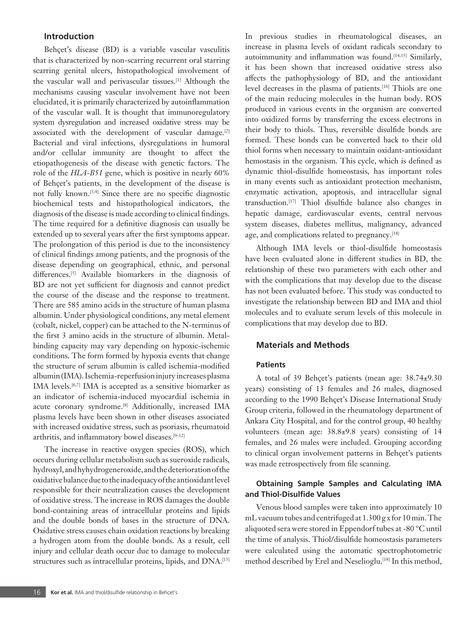# **Introduction**

Behçet's disease (BD) is a variable vascular vasculitis that is characterized by non-scarring recurrent oral starring scarring genital ulcers, histopathological involvement of the vascular wall and perivascular tissues.[1] Although the mechanisms causing vascular involvement have not been elucidated, it is primarily characterized by autoinflammation of the vascular wall. It is thought that immunoregulatory system dysregulation and increased oxidative stress may be associated with the development of vascular damage.<sup>[2]</sup> Bacterial and viral infections, dysregulations in humoral and/or cellular immunity are thought to affect the etiopathogenesis of the disease with genetic factors. The role of the *HLA-B51* gene, which is positive in nearly 60% of Behçet's patients, in the development of the disease is not fully known.[3,4] Since there are no specific diagnostic biochemical tests and histopathological indicators, the diagnosis of the disease is made according to clinical findings. The time required for a definitive diagnosis can usually be extended up to several years after the first symptoms appear. The prolongation of this period is due to the inconsistency of clinical findings among patients, and the prognosis of the disease depending on geographical, ethnic, and personal differences.<sup>[5]</sup> Available biomarkers in the diagnosis of BD are not yet sufficient for diagnosis and cannot predict the course of the disease and the response to treatment. There are 585 amino acids in the structure of human plasma albumin. Under physiological conditions, any metal element (cobalt, nickel, copper) can be attached to the N-terminus of the first 3 amino acids in the structure of albumin. Metalbinding capacity may vary depending on hypoxic-ischemic conditions. The form formed by hypoxia events that change the structure of serum albumin is called ischemia-modified albumin (IMA). Ischemia-reperfusion injury increases plasma IMA levels.<sup>[6,7]</sup> IMA is accepted as a sensitive biomarker as an indicator of ischemia-induced myocardial ischemia in acute coronary syndrome.<sup>[8]</sup> Additionally, increased IMA plasma levels have been shown in other diseases associated with increased oxidative stress, such as psoriasis, rheumatoid arthritis, and inflammatory bowel diseases.<sup>[9-12]</sup>

The increase in reactive oxygen species (ROS), which occurs during cellular metabolism such as sueroxide radicals, hydroxyl, and hyhydrogeneroxide, and the deterioration of the oxidative balance due to the inadequacy of the antioxidant level responsible for their neutralization causes the development of oxidative stress. The increase in ROS damages the double bond-containing areas of intracellular proteins and lipids and the double bonds of bases in the structure of DNA. Oxidative stress causes chain oxidation reactions by breaking a hydrogen atom from the double bonds. As a result, cell injury and cellular death occur due to damage to molecular structures such as intracellular proteins, lipids, and DNA.[13] In previous studies in rheumatological diseases, an increase in plasma levels of oxidant radicals secondary to autoimmunity and inflammation was found.<sup>[14,15]</sup> Similarly, it has been shown that increased oxidative stress also affects the pathophysiology of BD, and the antioxidant level decreases in the plasma of patients.[16] Thiols are one of the main reducing molecules in the human body. ROS produced in various events in the organism are converted into oxidized forms by transferring the excess electrons in their body to thiols. Thus, reversible disulfide bonds are formed. These bonds can be converted back to their old thiol forms when necessary to maintain oxidant-antioxidant hemostasis in the organism. This cycle, which is defined as dynamic thiol-disulfide homeostasis, has important roles in many events such as antioxidant protection mechanism, enzymatic activation, apoptosis, and intracellular signal transduction.[17] Thiol disulfide balance also changes in hepatic damage, cardiovascular events, central nervous system diseases, diabetes mellitus, malignancy, advanced age, and complications related to pregnancy.<sup>[18]</sup>

Although IMA levels or thiol-disulfide homeostasis have been evaluated alone in different studies in BD, the relationship of these two parameters with each other and with the complications that may develop due to the disease has not been evaluated before. This study was conducted to investigate the relationship between BD and IMA and thiol molecules and to evaluate serum levels of this molecule in complications that may develop due to BD.

# **Materials and Methods**

#### **Patients**

A total of 39 Behçet's patients (mean age: 38.74±9.30 years) consisting of 13 females and 26 males, diagnosed according to the 1990 Behçet's Disease International Study Group criteria, followed in the rheumatology department of Ankara City Hospital, and for the control group, 40 healthy volunteers (mean age: 38.8±9.8 years) consisting of 14 females, and 26 males were included. Grouping according to clinical organ involvement patterns in Behçet's patients was made retrospectively from file scanning.

# **Obtaining Sample Samples and Calculating IMA and Thiol-Disulfide Values**

Venous blood samples were taken into approximately 10 mL vacuum tubes and centrifuged at 1.300 g x for 10 min. The aliquoted sera were stored in Eppendorf tubes at -80 °C until the time of analysis. Thiol/disulfide homeostasis parameters were calculated using the automatic spectrophotometric method described by Erel and Neselioglu.<sup>[18]</sup> In this method,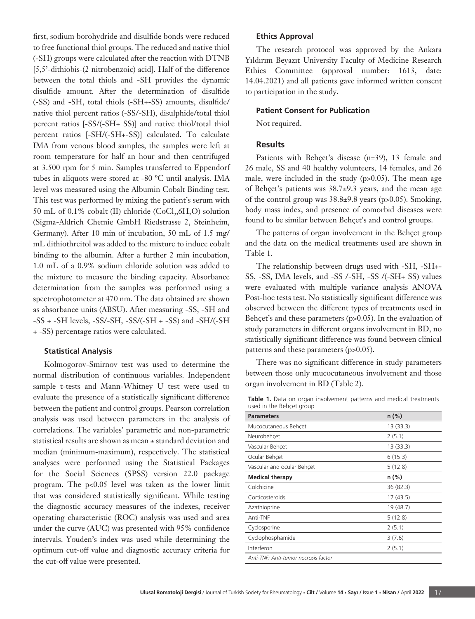first, sodium borohydride and disulfide bonds were reduced to free functional thiol groups. The reduced and native thiol (-SH) groups were calculated after the reaction with DTNB [5,5'-dithiobis-(2 nitrobenzoic) acid]. Half of the difference between the total thiols and -SH provides the dynamic disulfide amount. After the determination of disulfide (-SS) and -SH, total thiols (-SH+-SS) amounts, disulfide/ native thiol percent ratios (-SS/-SH), disulphide/total thiol percent ratios [-SS/(-SH+ SS)] and native thiol/total thiol percent ratios [-SH/(-SH+-SS)] calculated. To calculate IMA from venous blood samples, the samples were left at room temperature for half an hour and then centrifuged at 3.500 rpm for 5 min. Samples transferred to Eppendorf tubes in aliquots were stored at -80 ºC until analysis. IMA level was measured using the Albumin Cobalt Binding test. This test was performed by mixing the patient's serum with 50 mL of 0.1% cobalt (II) chloride  $(CoCl<sub>2</sub>, 6H<sub>2</sub>O)$  solution (Sigma-Aldrich Chemie GmbH Riedstrasse 2, Steinheim, Germany). After 10 min of incubation, 50 mL of 1.5 mg/ mL dithiothreitol was added to the mixture to induce cobalt binding to the albumin. After a further 2 min incubation, 1.0 mL of a 0.9% sodium chloride solution was added to the mixture to measure the binding capacity. Absorbance determination from the samples was performed using a spectrophotometer at 470 nm. The data obtained are shown as absorbance units (ABSU). After measuring -SS, -SH and -SS + -SH levels, -SS/-SH, -SS/(-SH + -SS) and -SH/(-SH + -SS) percentage ratios were calculated.

#### **Statistical Analysis**

Kolmogorov-Smirnov test was used to determine the normal distribution of continuous variables. Independent sample t-tests and Mann-Whitney U test were used to evaluate the presence of a statistically significant difference between the patient and control groups. Pearson correlation analysis was used between parameters in the analysis of correlations. The variables' parametric and non-parametric statistical results are shown as mean ± standard deviation and median (minimum-maximum), respectively. The statistical analyses were performed using the Statistical Packages for the Social Sciences (SPSS) version 22.0 package program. The p<0.05 level was taken as the lower limit that was considered statistically significant. While testing the diagnostic accuracy measures of the indexes, receiver operating characteristic (ROC) analysis was used and area under the curve (AUC) was presented with 95% confidence intervals. Youden's index was used while determining the optimum cut-off value and diagnostic accuracy criteria for the cut-off value were presented.

#### **Ethics Approval**

The research protocol was approved by the Ankara Yıldırım Beyazıt University Faculty of Medicine Research Ethics Committee (approval number: 1613, date: 14.04.2021) and all patients gave informed written consent to participation in the study.

#### **Patient Consent for Publication**

Not required.

### **Results**

Patients with Behçet's disease (n=39), 13 female and 26 male, SS and 40 healthy volunteers, 14 females, and 26 male, were included in the study (p>0.05). The mean age of Behçet's patients was 38.7±9.3 years, and the mean age of the control group was  $38.8\pm9.8$  years (p $>0.05$ ). Smoking, body mass index, and presence of comorbid diseases were found to be similar between Behçet's and control groups.

The patterns of organ involvement in the Behçet group and the data on the medical treatments used are shown in Table 1.

The relationship between drugs used with -SH, -SH+- SS, -SS, IMA levels, and -SS /-SH, -SS /(-SH+ SS) values were evaluated with multiple variance analysis ANOVA Post-hoc tests test. No statistically significant difference was observed between the different types of treatments used in Behçet's and these parameters (p>0.05). In the evaluation of study parameters in different organs involvement in BD, no statistically significant difference was found between clinical patterns and these parameters (p>0.05).

There was no significant difference in study parameters between those only mucocutaneous involvement and those organ involvement in BD (Table 2).

| Table 1. Data on organ involvement patterns and medical treatments |  |  |  |
|--------------------------------------------------------------------|--|--|--|
| used in the Behcet group                                           |  |  |  |

| <b>Parameters</b>                    | $n (\%)$  |
|--------------------------------------|-----------|
| Mucocutaneous Behcet                 | 13 (33.3) |
| Neurobehcet                          | 2(5.1)    |
| Vascular Behcet                      | 13 (33.3) |
| Ocular Behcet                        | 6(15.3)   |
| Vascular and ocular Behcet           | 5(12.8)   |
| <b>Medical therapy</b>               | n (%)     |
| Colchicine                           | 36 (82.3) |
| Corticosteroids                      | 17 (43.5) |
| Azathioprine                         | 19 (48.7) |
| Anti-TNF                             | 5(12.8)   |
| Cyclosporine                         | 2(5.1)    |
| Cyclophosphamide                     | 3(7.6)    |
| Interferon                           | 2(5.1)    |
| Anti-TNF: Anti-tumor necrosis factor |           |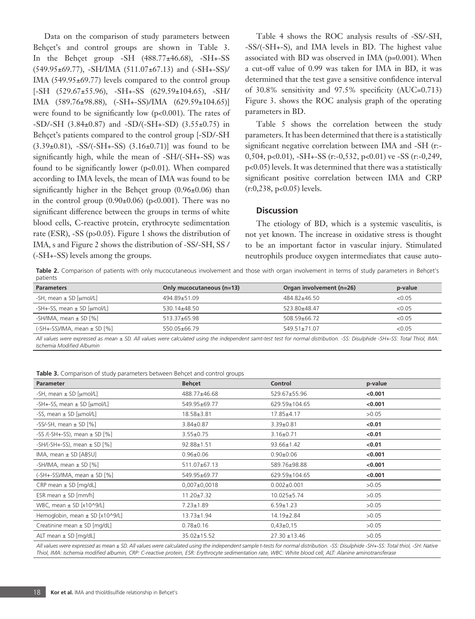Data on the comparison of study parameters between Behçet's and control groups are shown in Table 3. In the Behçet group  $-SH$   $(488.77\pm46.68)$ ,  $-SH+-SS$ (549.95±69.77), -SH/IMA (511.07±67.13) and (-SH+-SS)/ IMA (549.95±69.77) levels compared to the control group [-SH (529.67±55.96), -SH+-SS (629.59±104.65), -SH/ IMA (589.76±98.88), (-SH+-SS)/IMA (629.59±104.65)] were found to be significantly low (p<0.001). The rates of  $-SD/-SH$  (3.84±0.87) and  $-SD/(-SH+-SD)$  (3.55±0.75) in Behçet's patients compared to the control group [-SD/-SH  $(3.39\pm0.81)$ ,  $-SS/(-SH + -SS)$   $(3.16\pm0.71)$ ] was found to be significantly high, while the mean of -SH/(-SH+-SS) was found to be significantly lower (p<0.01). When compared according to IMA levels, the mean of IMA was found to be significantly higher in the Behçet group  $(0.96\pm0.06)$  than in the control group  $(0.90\pm0.06)$  (p<0.001). There was no significant difference between the groups in terms of white blood cells, C-reactive protein, erythrocyte sedimentation rate (ESR), -SS (p>0.05). Figure 1 shows the distribution of IMA, s and Figure 2 shows the distribution of -SS/-SH, SS / (-SH+-SS) levels among the groups.

Table 4 shows the ROC analysis results of -SS/-SH, -SS/(-SH+-S), and IMA levels in BD. The highest value associated with BD was observed in IMA (p=0.001). When a cut-off value of 0.99 was taken for IMA in BD, it was determined that the test gave a sensitive confidence interval of 30.8% sensitivity and 97.5% specificity (AUC=0.713) Figure 3. shows the ROC analysis graph of the operating parameters in BD.

Table 5 shows the correlation between the study parameters. It has been determined that there is a statistically significant negative correlation between IMA and -SH (r:- 0,504, p<0.01), -SH+-SS (r:-0,532, p<0.01) ve -SS (r:-0,249, p<0.05) levels. It was determined that there was a statistically significant positive correlation between IMA and CRP (r:0,238, p<0.05) levels.

# **Discussion**

The etiology of BD, which is a systemic vasculitis, is not yet known. The increase in oxidative stress is thought to be an important factor in vascular injury. Stimulated neutrophils produce oxygen intermediates that cause auto-

Table 2. Comparison of patients with only mucocutaneous involvement and those with organ involvement in terms of study parameters in Behçet's patients

| <b>Parameters</b>                        | Only mucocutaneous (n=13) | Organ involvement (n=26) | p-value |
|------------------------------------------|---------------------------|--------------------------|---------|
| -SH, mean $\pm$ SD [µmol/L]              | 494.89±51.09              | 484.82±46.50             | < 0.05  |
| -SH+-SS, mean $\pm$ SD [µmol/L]          | $530.14 + 48.50$          | 523.80+48.47             | < 0.05  |
| -SH/IMA, mean $\pm$ SD [%]               | $513.37 + 65.98$          | 508 59+66 72             | < 0.05  |
| $(-SH + -SS)/IMA$ , mean $\pm$ SD $[\%]$ | $550.05 + 66.79$          | $549.51 \pm 71.07$       | < 0.05  |
|                                          |                           |                          |         |

*All values were expressed as mean ± SD. All values were calculated using the independent samt-test test for normal distribution. -SS: Disulphide -SH+-SS: Total Thiol, IMA: Ischemia Modified Albumin*

**Table 3.** Comparison of study parameters between Behçet and control groups

| Parameter                                | <b>Behcet</b>    | Control           | p-value |
|------------------------------------------|------------------|-------------------|---------|
| -SH, mean $\pm$ SD [ $\mu$ mol/L]        | 488.77±46.68     | 529.67±55.96      | < 0.001 |
| -SH+-SS, mean $\pm$ SD [µmol/L]          | 549.95±69.77     | 629.59±104.65     | < 0.001 |
| -SS, mean $\pm$ SD [µmol/L]              | 18.58±3.81       | $17.85 \pm 4.17$  | >0.05   |
| -SS/-SH, mean $\pm$ SD [%]               | $3.84 \pm 0.87$  | $3.39 \pm 0.81$   | < 0.01  |
| -SS /(-SH+-SS), mean $\pm$ SD [%]        | $3.55 \pm 0.75$  | $3.16 \pm 0.71$   | < 0.01  |
| $-SH/(-SH+-SS)$ , mean $\pm$ SD [%]      | $92.88 \pm 1.51$ | $93.66 \pm 1.42$  | < 0.01  |
| IMA, mean $\pm$ SD [ABSU]                | $0.96 \pm 0.06$  | $0.90 \pm 0.06$   | < 0.001 |
| -SH/IMA, mean $\pm$ SD [%]               | 511.07±67.13     | 589.76±98.88      | < 0.001 |
| $(-SH + -SS)/IMA$ , mean $\pm$ SD $[\%]$ | 549.95±69.77     | 629.59±104.65     | < 0.001 |
| $CRP$ mean $\pm$ SD [mg/dL]              | $0,007+0,0018$   | $0.002 \pm 0.001$ | >0.05   |
| ESR mean $\pm$ SD [mm/h]                 | $11.20 \pm 7.32$ | $10.025 \pm 5.74$ | >0.05   |
| WBC, mean $\pm$ SD [x10^9/L]             | $7.23 \pm 1.89$  | $6.59 \pm 1.23$   | >0.05   |
| Hemoglobin, mean $\pm$ SD [x10^9/L]      | 13.73±1.94       | $14.19 \pm 2.84$  | >0.05   |
| Creatinine mean $\pm$ SD [mg/dL]         | $0.78 \pm 0.16$  | $0,43\pm0,15$     | >0.05   |
| ALT mean $\pm$ SD [mg/dL]                | 35.02±15.52      | $27.30 \pm 13.46$ | >0.05   |

*All values were expressed as mean ± SD. All values were calculated using the independent sample t-tests for normal distribution. -SS: Disulphide -SH+-SS: Total thiol, -SH: Native Thiol, IMA: Ischemia modified albumin, CRP: C-reactive protein, ESR: Erythrocyte sedimentation rate, WBC: White blood cell, ALT: Alanine aminotransferase*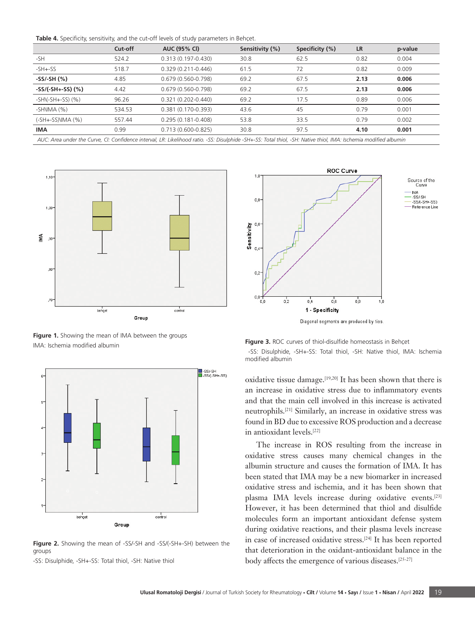|  |  |  |  |  |  |  | Table 4. Specificity, sensitivity, and the cut-off levels of study parameters in Behcet. |  |
|--|--|--|--|--|--|--|------------------------------------------------------------------------------------------|--|
|--|--|--|--|--|--|--|------------------------------------------------------------------------------------------|--|

|                                                                                                                                                                   | Cut-off | <b>AUC (95% CI)</b>    | Sensitivity (%) | Specificity (%) | <b>LR</b> | p-value |  |  |
|-------------------------------------------------------------------------------------------------------------------------------------------------------------------|---------|------------------------|-----------------|-----------------|-----------|---------|--|--|
| $-SH$                                                                                                                                                             | 524.2   | 0.313 (0.197-0.430)    | 30.8            | 62.5            | 0.82      | 0.004   |  |  |
| $-SH + -SS$                                                                                                                                                       | 518.7   | $0.329(0.211 - 0.446)$ | 61.5            | 72              | 0.82      | 0.009   |  |  |
| $-SS/-SH(%)$                                                                                                                                                      | 4.85    | $0.679(0.560 - 0.798)$ | 69.2            | 67.5            | 2.13      | 0.006   |  |  |
| $-SS/(-SH+SS)$ (%)                                                                                                                                                | 4.42    | $0.679(0.560-0.798)$   | 69.2            | 67.5            | 2.13      | 0.006   |  |  |
| $-SHN(-SH+-SS)(%)$                                                                                                                                                | 96.26   | 0.321 (0.202-0.440)    | 69.2            | 17.5            | 0.89      | 0.006   |  |  |
| $-SHIIMA (%)$                                                                                                                                                     | 534.53  | 0.381 (0.170-0.393)    | 43.6            | 45              | 0.79      | 0.001   |  |  |
| (-SH+-SS)\IMA (%)                                                                                                                                                 | 557.44  | $0.295(0.181 - 0.408)$ | 53.8            | 33.5            | 0.79      | 0.002   |  |  |
| <b>IMA</b>                                                                                                                                                        | 0.99    | $0.713(0.600 - 0.825)$ | 30.8            | 97.5            | 4.10      | 0.001   |  |  |
| AUC: Area under the Curve, CI: Confidence interval, LR: Likelihood ratio. -SS: Disulphide -SH+-SS: Total thiol, -SH: Native thiol, IMA: Ischemia modified albumin |         |                        |                 |                 |           |         |  |  |



Figure 1. Showing the mean of IMA between the groups IMA: Ischemia modified albumin



**Figure 2.** Showing the mean of -SS/-SH and -SS/(-SH+-SH) between the groups

-SS: Disulphide, -SH+-SS: Total thiol, -SH: Native thiol



Diagonal segments are produced by ties



oxidative tissue damage.[19,20] It has been shown that there is an increase in oxidative stress due to inflammatory events and that the main cell involved in this increase is activated neutrophils.[21] Similarly, an increase in oxidative stress was found in BD due to excessive ROS production and a decrease in antioxidant levels.[22]

The increase in ROS resulting from the increase in oxidative stress causes many chemical changes in the albumin structure and causes the formation of IMA. It has been stated that IMA may be a new biomarker in increased oxidative stress and ischemia, and it has been shown that plasma IMA levels increase during oxidative events.[23] However, it has been determined that thiol and disulfide molecules form an important antioxidant defense system during oxidative reactions, and their plasma levels increase in case of increased oxidative stress.[24] It has been reported that deterioration in the oxidant-antioxidant balance in the body affects the emergence of various diseases.<sup>[25-27]</sup>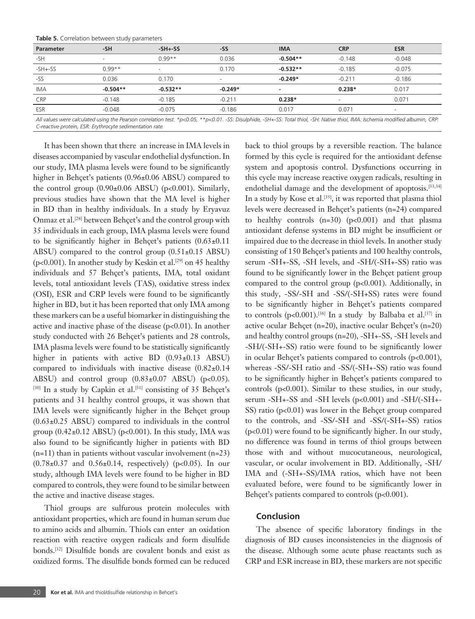|  | <b>Table 5.</b> Correlation between study parameters |
|--|------------------------------------------------------|
|--|------------------------------------------------------|

| <b>Parameter</b> | $-SH$                    | $-SH + SS$               | -SS                      | <b>IMA</b>               | <b>CRP</b> | <b>ESR</b>               |
|------------------|--------------------------|--------------------------|--------------------------|--------------------------|------------|--------------------------|
| $-SH$            | $\overline{\phantom{0}}$ | $0.99**$                 | 0.036                    | $-0.504**$               | $-0.148$   | $-0.048$                 |
| $-SH + -SS$      | $0.99**$                 | $\overline{\phantom{a}}$ | 0.170                    | $-0.532**$               | $-0.185$   | $-0.075$                 |
| -SS              | 0.036                    | 0.170                    | $\overline{\phantom{a}}$ | $-0.249*$                | $-0.211$   | $-0.186$                 |
| <b>IMA</b>       | $-0.504**$               | $-0.532**$               | $-0.249*$                | $\overline{\phantom{a}}$ | $0.238*$   | 0.017                    |
| <b>CRP</b>       | $-0.148$                 | $-0.185$                 | $-0.211$                 | $0.238*$                 |            | 0.071                    |
| ESR              | $-0.048$                 | $-0.075$                 | $-0.186$                 | 0.017                    | 0.071      | $\overline{\phantom{0}}$ |
|                  |                          |                          |                          |                          |            |                          |

*All values were calculated using the Pearson correlation test. \*p<0.05, \*\*p<0.01. -SS: Disulphide, -SH+-SS: Total thiol, -SH: Native thiol, IMA: Ischemia modified albumin, CRP: C-reactive protein, ESR: Erythrocyte sedimentation rate*

It has been shown that there an increase in IMA levels in diseases accompanied by vascular endothelial dysfunction. In our study, IMA plasma levels were found to be significantly higher in Behçet's patients (0.96±0.06 ABSU) compared to the control group  $(0.90\pm0.06 \text{ ABSU})$  (p<0.001). Similarly, previous studies have shown that the MA level is higher in BD than in healthy individuals. In a study by Eryavuz Onmaz et al.<sup>[28]</sup> between Behçet's and the control group with 35 individuals in each group, IMA plasma levels were found to be significantly higher in Behçet's patients  $(0.63 \pm 0.11)$ ABSU) compared to the control group  $(0.51\pm0.15 \text{ ABSU})$ (p<0.001). In another study by Keskin et al.<sup>[29]</sup> on 45 healthy individuals and 57 Behçet's patients, IMA, total oxidant levels, total antioxidant levels (TAS), oxidative stress index (OSI), ESR and CRP levels were found to be significantly higher in BD, but it has been reported that only IMA among these markers can be a useful biomarker in distinguishing the active and inactive phase of the disease (p<0.01). In another study conducted with 26 Behçet's patients and 28 controls, IMA plasma levels were found to be statistically significantly higher in patients with active BD (0.93±0.13 ABSU) compared to individuals with inactive disease (0.82±0.14 ABSU) and control group  $(0.83\pm0.07 \text{ ABSU})$  (p<0.05). [30] In a study by Capkin et al.<sup>[31]</sup> consisting of 35 Behçet's patients and 31 healthy control groups, it was shown that IMA levels were significantly higher in the Behçet group (0.63±0.25 ABSU) compared to individuals in the control group  $(0.42\pm0.12$  ABSU) (p<0.001). In this study, IMA was also found to be significantly higher in patients with BD  $(n=11)$  than in patients without vascular involvement  $(n=23)$  $(0.78\pm0.37)$  and  $0.56\pm0.14$ , respectively) (p<0.05). In our study, although IMA levels were found to be higher in BD compared to controls, they were found to be similar between the active and inactive disease stages.

Thiol groups are sulfurous protein molecules with antioxidant properties, which are found in human serum due to amino acids and albumin. Thiols can enter an oxidation reaction with reactive oxygen radicals and form disulfide bonds.[32] Disulfide bonds are covalent bonds and exist as oxidized forms. The disulfide bonds formed can be reduced

back to thiol groups by a reversible reaction. The balance formed by this cycle is required for the antioxidant defense system and apoptosis control. Dysfunctions occurring in this cycle may increase reactive oxygen radicals, resulting in endothelial damage and the development of apoptosis.<sup>[33,34]</sup> In a study by Kose et al.<sup>[35]</sup>, it was reported that plasma thiol levels were decreased in Behçet's patients (n=24) compared to healthy controls  $(n=30)$   $(p<0.001)$  and that plasma antioxidant defense systems in BD might be insufficient or impaired due to the decrease in thiol levels. In another study consisting of 150 Behçet's patients and 100 healthy controls, serum -SH+-SS, -SH levels, and -SH/(-SH+-SS) ratio was found to be significantly lower in the Behçet patient group compared to the control group (p<0.001). Additionally, in this study, -SS/-SH and -SS/(-SH+SS) rates were found to be significantly higher in Behçet's patients compared to controls (p<0.001).<sup>[36]</sup> In a study by Balbaba et al.<sup>[37]</sup> in active ocular Behçet (n=20), inactive ocular Behçet's (n=20) and healthy control groups (n=20), -SH+-SS, -SH levels and -SH/(-SH+-SS) ratio were found to be significantly lower in ocular Behçet's patients compared to controls (p<0.001), whereas -SS/-SH ratio and -SS/(-SH+-SS) ratio was found to be significantly higher in Behçet's patients compared to controls (p<0.001). Similar to these studies, in our study, serum -SH+-SS and -SH levels (p<0.001) and -SH/(-SH+- SS) ratio (p<0.01) was lower in the Behçet group compared to the controls, and -SS/-SH and -SS/(-SH+-SS) ratios (p<0.01) were found to be significantly higher. In our study, no difference was found in terms of thiol groups between those with and without mucocutaneous, neurological, vascular, or ocular involvement in BD. Additionally, -SH/ IMA and (-SH+-SS)/IMA ratios, which have not been evaluated before, were found to be significantly lower in Behçet's patients compared to controls (p<0.001).

#### **Conclusion**

The absence of specific laboratory findings in the diagnosis of BD causes inconsistencies in the diagnosis of the disease. Although some acute phase reactants such as CRP and ESR increase in BD, these markers are not specific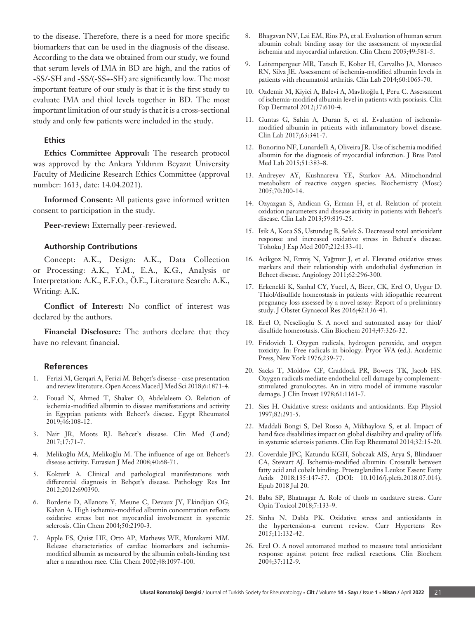to the disease. Therefore, there is a need for more specific biomarkers that can be used in the diagnosis of the disease. According to the data we obtained from our study, we found that serum levels of IMA in BD are high, and the ratios of -SS/-SH and -SS/(-SS+-SH) are significantly low. The most important feature of our study is that it is the first study to evaluate IMA and thiol levels together in BD. The most important limitation of our study is that it is a cross-sectional study and only few patients were included in the study.

# **Ethics**

**Ethics Committee Approval:** The research protocol was approved by the Ankara Yıldırım Beyazıt University Faculty of Medicine Research Ethics Committee (approval number: 1613, date: 14.04.2021).

**Informed Consent:** All patients gave informed written consent to participation in the study.

**Peer-review:** Externally peer-reviewed.

#### **Authorship Contributions**

Concept: A.K., Design: A.K., Data Collection or Processing: A.K., Y.M., E.A., K.G., Analysis or Interpretation: A.K., E.F.O., Ö.E., Literature Search: A.K., Writing: A.K.

**Conflict of Interest:** No conflict of interest was declared by the authors.

**Financial Disclosure:** The authors declare that they have no relevant financial.

#### **References**

- 1. Ferizi M, Gerqari A, Ferizi M. Behçet's disease case presentation and review literature. Open Access Maced J Med Sci 2018;6:1871-4.
- 2. Fouad N, Ahmed T, Shaker O, Abdelaleem O. Relation of ischemia-modified albumin to disease manifestations and activity in Egyptian patients with Behcet's disease. Egypt Rheumatol 2019;46:108-12.
- 3. Nair JR, Moots RJ. Behcet's disease. Clin Med (Lond) 2017;17:71-7.
- 4. Melikoğlu MA, Melikoğlu M. The influence of age on Behcet's disease activity. Eurasian J Med 2008;40:68-71.
- 5. Kokturk A. Clinical and pathological manifestations with differential diagnosis in Behçet's disease. Pathology Res Int 2012;2012:690390.
- 6. Borderie D, Allanore Y, Meune C, Devaux JY, Ekindjian OG, Kahan A. High ischemia-modified albumin concentration reflects oxidative stress but not myocardial involvement in systemic sclerosis. Clin Chem 2004;50:2190-3.
- 7. Apple FS, Quist HE, Otto AP, Mathews WE, Murakami MM. Release characteristics of cardiac biomarkers and ischemiamodified albumin as measured by the albumin cobalt-binding test after a marathon race. Clin Chem 2002;48:1097-100.
- 8. Bhagavan NV, Lai EM, Rios PA, et al. Evaluation of human serum albumin cobalt binding assay for the assessment of myocardial ischemia and myocardial infarction. Clin Chem 2003;49:581-5.
- 9. Leitemperguer MR, Tatsch E, Kober H, Carvalho JA, Moresco RN, Silva JE. Assessment of ischemia-modified albumin levels in patients with rheumatoid arthritis. Clin Lab 2014;60:1065-70.
- 10. Ozdemir M, Kiyici A, Balevi A, Mavlitoğlu I, Peru C. Assessment of ischemia-modified albumin level in patients with psoriasis. Clin Exp Dermatol 2012;37:610-4.
- 11. Guntas G, Sahin A, Duran S, et al. Evaluation of ischemiamodified albumin in patients with inflammatory bowel disease. Clin Lab 2017;63:341-7.
- 12. Bonorino NF, Lunardelli A, Oliveira JR. Use of ischemia modified albumin for the diagnosis of myocardial infarction. J Bras Patol Med Lab 2015;51:383-8.
- 13. Andreyev AY, Kushnareva YE, Starkov AA. Mitochondrial metabolism of reactive oxygen species. Biochemistry (Mosc) 2005;70:200-14.
- 14. Ozyazgan S, Andican G, Erman H, et al. Relation of protein oxidation parameters and disease activity in patients with Behcet's disease. Clin Lab 2013;59:819-25.
- 15. Isik A, Koca SS, Ustundag B, Selek S. Decreased total antioxidant response and increased oxidative stress in Behcet's disease. Tohoku J Exp Med 2007;212:133-41.
- 16. Acikgoz N, Ermiş N, Yağmur J, et al. Elevated oxidative stress markers and their relationship with endothelial dysfunction in Behcet disease. Angiology 2011;62:296-300.
- 17. Erkenekli K, Sanhal CY, Yucel, A, Bicer, CK, Erel O, Uygur D. Thiol/disulfide homeostasis in patients with idiopathic recurrent pregnancy loss assessed by a novel assay: Report of a preliminary study. J Obstet Gynaecol Res 2016;42:136-41.
- 18. Erel O, Neselioglu S. A novel and automated assay for thiol/ disulfide homeostasis. Clin Biochem 2014;47:326-32.
- 19. Fridovich I. Oxygen radicals, hydrogen peroxide, and oxygen toxicity. In: Free radicals in biology. Pryor WA (ed.). Academic Press, New York 1976;239-77.
- 20. Sacks T, Moldow CF, Craddock PR, Bowers TK, Jacob HS. Oxygen radicals mediate endothelial cell damage by complementstimulated granulocytes. An in vitro model of immune vascular damage. J Clin Invest 1978;61:1161-7.
- 21. Sies H. Oxidative stress: oxidants and antioxidants. Exp Physiol 1997;82:291-5.
- 22. Maddali Bongi S, Del Rosso A, Mikhaylova S, et al. Impact of hand face disabilities impact on global disability and quality of life in systemic sclerosis patients. Clin Exp Rheumatol 2014;32:15-20.
- 23. Coverdale JPC, Katundu KGH, Sobczak AIS, Arya S, Blindauer CA, Stewart AJ. Ischemia-modified albumin: Crosstalk between fatty acid and cobalt binding. Prostaglandins Leukot Essent Fatty Acids 2018;135:147-57. (DOI: 10.1016/j.plefa.2018.07.014). Epub 2018 Jul 20.
- 24. Baba SP, Bhatnagar A. Role of thıols ın oxıdatıve stress. Curr Opin Toxicol 2018;7:133-9.
- 25. Sinha N, Dabla PK. Oxidative stress and antioxidants in the hypertension-a current review. Curr Hypertens Rev 2015;11:132-42.
- 26. Erel O. A novel automated method to measure total antioxidant response against potent free radical reactions. Clin Biochem 2004;37:112-9.